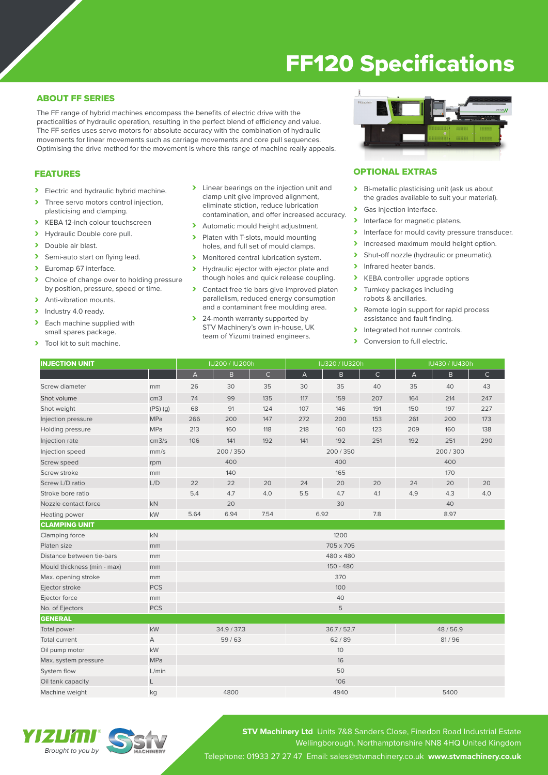# FF120 Specifications

# ABOUT FF SERIES

The FF range of hybrid machines encompass the benefits of electric drive with the practicalities of hydraulic operation, resulting in the perfect blend of efficiency and value. The FF series uses servo motors for absolute accuracy with the combination of hydraulic movements for linear movements such as carriage movements and core pull sequences. Optimising the drive method for the movement is where this range of machine really appeals.

## FEATURES

- > Electric and hydraulic hybrid machine.
- > Three servo motors control injection, plasticising and clamping.
- > KEBA 12-inch colour touchscreen
- > Hydraulic Double core pull.<br>
> Double air blast
- Double air blast.
- > Semi-auto start on flying lead.
- > Euromap 67 interface.
- > Choice of change over to holding pressure by position, pressure, speed or time.
- > Anti-vibration mounts.
- > Industry 4.0 ready.
- Each machine supplied with small spares package.
- > Tool kit to suit machine.
- > Linear bearings on the injection unit and clamp unit give improved alignment, eliminate stiction, reduce lubrication contamination, and offer increased accuracy.
- > Automatic mould height adjustment.
- Platen with T-slots, mould mounting holes, and full set of mould clamps.
- > Monitored central lubrication system.
- > Hydraulic ejector with ejector plate and though holes and quick release coupling.
- > Contact free tie bars give improved platen parallelism, reduced energy consumption and a contaminant free moulding area.
- > 24-month warranty supported by STV Machinery's own in-house, UK team of Yizumi trained engineers.



#### OPTIONAL EXTRAS

- > Bi-metallic plasticising unit (ask us about the grades available to suit your material).
- > Gas injection interface.
- > Interface for magnetic platens.
- Interface for mould cavity pressure transducer.
- > Increased maximum mould height option.
- > Shut-off nozzle (hydraulic or pneumatic).
- Infrared heater bands.
- > KEBA controller upgrade options<br>> Turnkey packages including
- Turnkey packages including robots & ancillaries.
- > Remote login support for rapid process assistance and fault finding.
- Integrated hot runner controls.<br>
Integrated hot rull electric
- Conversion to full electric.

| <b>INJECTION UNIT</b>       |                   | IU200 / IU200h |             |              | IU320 / IU320h |             |              | IU430 / IU430h |         |              |  |
|-----------------------------|-------------------|----------------|-------------|--------------|----------------|-------------|--------------|----------------|---------|--------------|--|
|                             |                   | A              | B           | $\mathsf{C}$ | A              | B           | $\mathsf{C}$ | А              | B.      | $\mathsf{C}$ |  |
| Screw diameter              | mm                | 26             | 30          | 35           | 30             | 35          | 40           | 35             | 40      | 43           |  |
| Shot volume                 | cm <sub>3</sub>   | 74             | 99          | 135          | 117            | 159         | 207          | 164            | 214     | 247          |  |
| Shot weight                 | $(PS)$ $(g)$      | 68             | 91          | 124          | 107            | 146         | 191          | 150            | 197     | 227          |  |
| Injection pressure          | MPa               | 266            | 200         | 147          | 272            | 200         | 153          | 261            | 200     | 173          |  |
| Holding pressure            | MPa               | 213            | 160         | 118          | 218            | 160         | 123          | 209            | 160     | 138          |  |
| Injection rate              | cm <sub>3/s</sub> | 106            | 141         | 192          | 141            | 192         | 251          | 192            | 251     | 290          |  |
| Injection speed             | mm/s              |                | 200/350     |              |                | 200/350     |              |                | 200/300 |              |  |
| Screw speed                 | rpm               | 400            |             |              | 400            |             |              | 400            |         |              |  |
| Screw stroke                | mm                |                | 140         |              |                | 165         |              |                | 170     |              |  |
| Screw L/D ratio             | L/D               | 22             | 22          | 20           | 24             | 20          | 20           | 24             | 20      | 20           |  |
| Stroke bore ratio           |                   | 5.4            | 4.7         | 4.0          | 5.5            | 4.7         | 4.1          | 4.9            | 4.3     | 4.0          |  |
| Nozzle contact force        | kN                |                | 20          |              | 30             |             | 40           |                |         |              |  |
| Heating power               | kW                | 5.64           | 6.94        | 7.54         | 6.92<br>7.8    |             | 8.97         |                |         |              |  |
| <b>CLAMPING UNIT</b>        |                   |                |             |              |                |             |              |                |         |              |  |
| Clamping force              | kN                |                |             |              |                | 1200        |              |                |         |              |  |
| Platen size                 | mm                | 705 x 705      |             |              |                |             |              |                |         |              |  |
| Distance between tie-bars   | mm                | 480 x 480      |             |              |                |             |              |                |         |              |  |
| Mould thickness (min - max) | mm                | 150 - 480      |             |              |                |             |              |                |         |              |  |
| Max. opening stroke         | mm                | 370            |             |              |                |             |              |                |         |              |  |
| Ejector stroke              | <b>PCS</b>        | 100            |             |              |                |             |              |                |         |              |  |
| Ejector force               | mm                |                |             |              |                | 40          |              |                |         |              |  |
| No. of Ejectors             | <b>PCS</b>        |                |             |              |                | 5           |              |                |         |              |  |
| <b>GENERAL</b>              |                   |                |             |              |                |             |              |                |         |              |  |
| Total power                 | kW                |                | 34.9 / 37.3 |              |                | 36.7 / 52.7 |              |                | 48/56.9 |              |  |
| Total current               | А                 |                | 59/63       |              |                | 62/89       |              |                | 81/96   |              |  |
| Oil pump motor              | kW                |                |             |              |                | 10          |              |                |         |              |  |
| Max. system pressure        | MPa               |                |             |              |                | 16          |              |                |         |              |  |
| System flow                 | L/min             |                |             |              |                | 50          |              |                |         |              |  |
| Oil tank capacity           | L                 |                |             |              |                | 106         |              |                |         |              |  |
| Machine weight              | kg                |                | 4800        |              |                | 4940        |              |                | 5400    |              |  |



**STV Machinery Ltd** Units 7&8 Sanders Close, Finedon Road Industrial Estate Wellingborough, Northamptonshire NN8 4HQ United Kingdom Telephone: 01933 27 27 47 Email: sales@stvmachinery.co.uk **www.stvmachinery.co.uk**